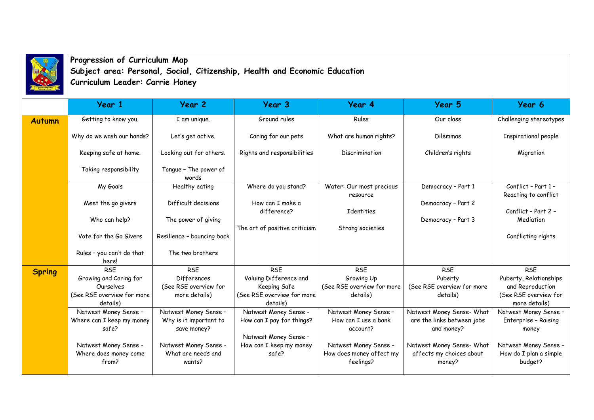

**Progression of Curriculum Map Subject area: Personal, Social, Citizenship, Health and Economic Education**

|               | Curriculum Leader: Carrie Honey        |                                |                                        |                                       |                                    |                                             |  |  |  |  |
|---------------|----------------------------------------|--------------------------------|----------------------------------------|---------------------------------------|------------------------------------|---------------------------------------------|--|--|--|--|
|               | Year 1                                 | Year 2                         | Year 3                                 | Year 4                                | <b>Year 5</b>                      | Year 6                                      |  |  |  |  |
| <b>Autumn</b> | Getting to know you.                   | I am unique.                   | Ground rules                           | Rules                                 | Our class                          | Challenging stereotypes                     |  |  |  |  |
|               | Why do we wash our hands?              | Let's get active.              | Caring for our pets                    | What are human rights?                | Dilemmas                           | Inspirational people                        |  |  |  |  |
|               | Keeping safe at home.                  | Looking out for others.        | Rights and responsibilities            | Discrimination                        | Children's rights                  | Migration                                   |  |  |  |  |
|               | Taking responsibility                  | Tongue - The power of<br>words |                                        |                                       |                                    |                                             |  |  |  |  |
|               | My Goals                               | Healthy eating                 | Where do you stand?                    | Water: Our most precious<br>resource  | Democracy - Part 1                 | Conflict - Part 1 -<br>Reacting to conflict |  |  |  |  |
|               | Meet the go givers                     | Difficult decisions            | How can I make a<br>difference?        | Identities                            | Democracy - Part 2                 | Conflict - Part 2 -                         |  |  |  |  |
|               | Who can help?                          | The power of giving            | The art of positive criticism          | Strong societies                      | Democracy - Part 3                 | Mediation                                   |  |  |  |  |
|               | Vote for the Go Givers                 | Resilience - bouncing back     |                                        |                                       |                                    | Conflicting rights                          |  |  |  |  |
|               | Rules - you can't do that<br>here!     | The two brothers               |                                        |                                       |                                    |                                             |  |  |  |  |
| <b>Spring</b> | <b>RSE</b>                             | <b>RSE</b>                     | <b>RSE</b>                             | <b>RSE</b>                            | <b>RSE</b>                         | <b>RSE</b>                                  |  |  |  |  |
|               | Growing and Caring for                 | <b>Differences</b>             | Valuing Difference and                 | Growing Up                            | Puberty                            | Puberty, Relationships                      |  |  |  |  |
|               | Ourselves                              | (See RSE overview for          | Keeping Safe                           | (See RSE overview for more            | (See RSE overview for more         | and Reproduction                            |  |  |  |  |
|               | (See RSE overview for more<br>details) | more details)                  | (See RSE overview for more<br>details) | details)                              | details)                           | (See RSE overview for<br>more details)      |  |  |  |  |
|               | Natwest Money Sense -                  | Natwest Money Sense -          | Natwest Money Sense -                  | Natwest Money Sense -                 | Natwest Money Sense- What          | Natwest Money Sense -                       |  |  |  |  |
|               | Where can I keep my money              | Why is it important to         | How can I pay for things?              | How can I use a bank                  | are the links between jobs         | Enterprise - Raising                        |  |  |  |  |
|               | safe?                                  | save money?                    |                                        | account?                              | and money?                         | money                                       |  |  |  |  |
|               |                                        |                                | Natwest Money Sense -                  |                                       |                                    |                                             |  |  |  |  |
|               | Natwest Money Sense -                  | Natwest Money Sense -          | How can I keep my money                | Natwest Money Sense -                 | Natwest Money Sense- What          | Natwest Money Sense -                       |  |  |  |  |
|               | Where does money come<br>from?         | What are needs and<br>wants?   | safe?                                  | How does money affect my<br>feelings? | affects my choices about<br>money? | How do I plan a simple<br>budget?           |  |  |  |  |
|               |                                        |                                |                                        |                                       |                                    |                                             |  |  |  |  |